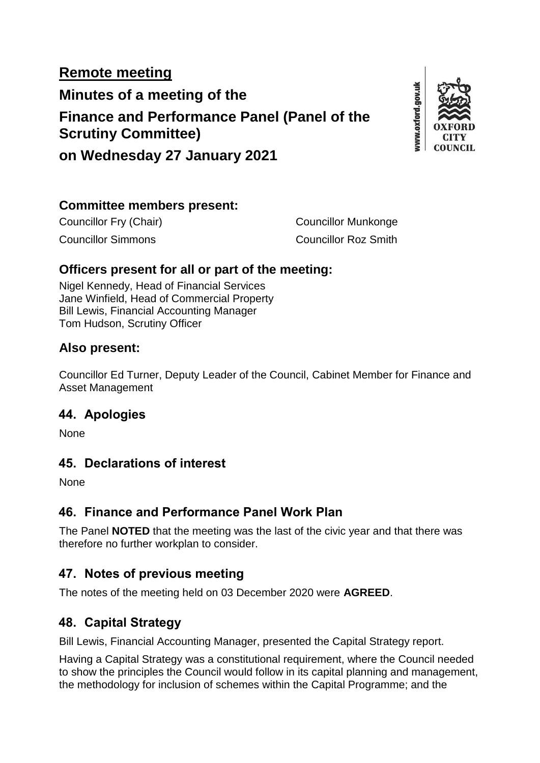# **Remote meeting Minutes of a meeting of the Finance and Performance Panel (Panel of the Scrutiny Committee)**



**on Wednesday 27 January 2021**

#### **Committee members present:**

Councillor Fry (Chair) Councillor Munkonge Councillor Simmons Councillor Roz Smith

### **Officers present for all or part of the meeting:**

Nigel Kennedy, Head of Financial Services Jane Winfield, Head of Commercial Property Bill Lewis, Financial Accounting Manager Tom Hudson, Scrutiny Officer

#### **Also present:**

Councillor Ed Turner, Deputy Leader of the Council, Cabinet Member for Finance and Asset Management

### **44. Apologies**

None

### **45. Declarations of interest**

None

### **46. Finance and Performance Panel Work Plan**

The Panel **NOTED** that the meeting was the last of the civic year and that there was therefore no further workplan to consider.

### **47. Notes of previous meeting**

The notes of the meeting held on 03 December 2020 were **AGREED**.

### **48. Capital Strategy**

Bill Lewis, Financial Accounting Manager, presented the Capital Strategy report.

Having a Capital Strategy was a constitutional requirement, where the Council needed to show the principles the Council would follow in its capital planning and management, the methodology for inclusion of schemes within the Capital Programme; and the